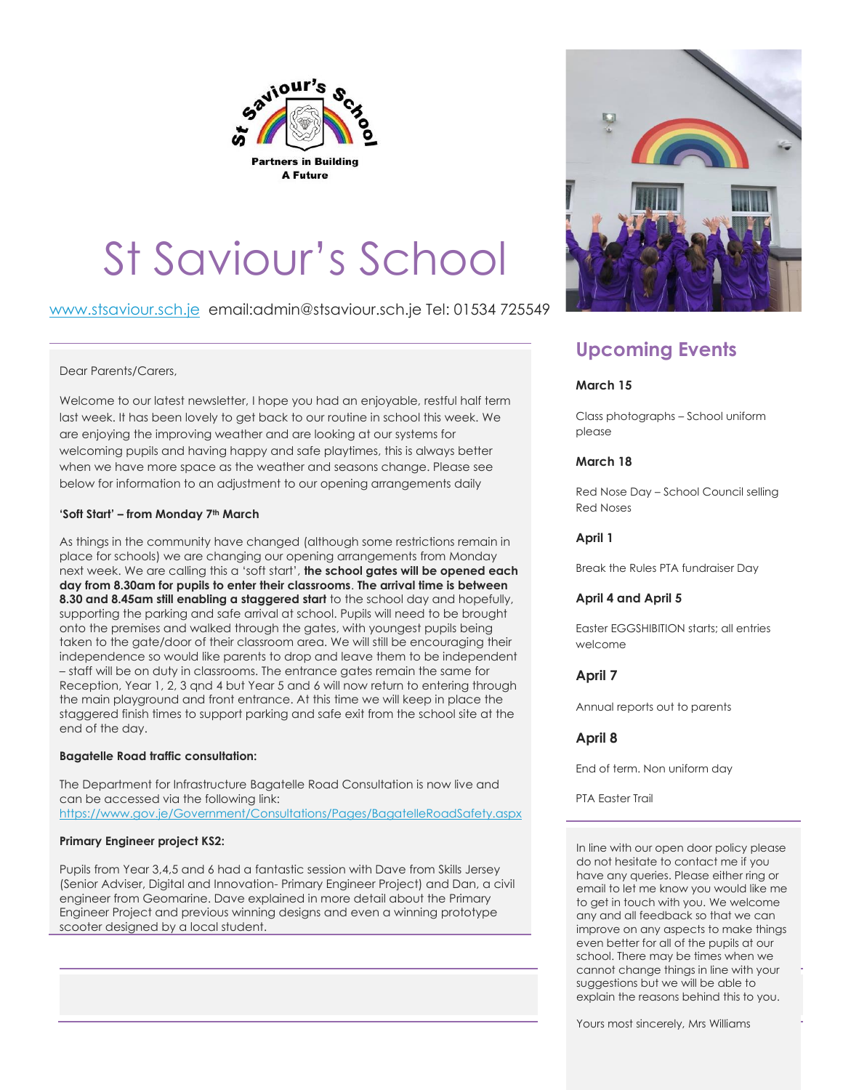

# St Saviour's School

[www.stsaviour.sch.je](http://www.stsaviour.sch.je/) email:admin@stsaviour.sch.je Tel: 01534 725549

# Dear Parents/Carers,

Welcome to our latest newsletter, I hope you had an enjoyable, restful half term last week. It has been lovely to get back to our routine in school this week. We are enjoying the improving weather and are looking at our systems for welcoming pupils and having happy and safe playtimes, this is always better when we have more space as the weather and seasons change. Please see below for information to an adjustment to our opening arrangements daily

### **'Soft Start' – from Monday 7th March**

As things in the community have changed (although some restrictions remain in place for schools) we are changing our opening arrangements from Monday next week. We are calling this a 'soft start', **the school gates will be opened each day from 8.30am for pupils to enter their classrooms**. **The arrival time is between 8.30 and 8.45am still enabling a staggered start** to the school day and hopefully, supporting the parking and safe arrival at school. Pupils will need to be brought onto the premises and walked through the gates, with youngest pupils being taken to the gate/door of their classroom area. We will still be encouraging their independence so would like parents to drop and leave them to be independent – staff will be on duty in classrooms. The entrance gates remain the same for Reception, Year 1, 2, 3 qnd 4 but Year 5 and 6 will now return to entering through the main playground and front entrance. At this time we will keep in place the staggered finish times to support parking and safe exit from the school site at the end of the day.

#### **Bagatelle Road traffic consultation:**

The Department for Infrastructure Bagatelle Road Consultation is now live and can be accessed via the following link: <https://www.gov.je/Government/Consultations/Pages/BagatelleRoadSafety.aspx>

#### **Primary Engineer project KS2:**

Pupils from Year 3,4,5 and 6 had a fantastic session with Dave from Skills Jersey (Senior Adviser, Digital and Innovation- Primary Engineer Project) and Dan, a civil engineer from Geomarine. Dave explained in more detail about the Primary Engineer Project and previous winning designs and even a winning prototype scooter designed by a local student.



# **Upcoming Events**

# **March 15**

Class photographs – School uniform please

# **March 18**

Red Nose Day – School Council selling Red Noses

# **April 1**

Break the Rules PTA fundraiser Day

#### **April 4 and April 5**

Easter EGGSHIBITION starts; all entries welcome

# **April 7**

Annual reports out to parents

# **April 8**

End of term. Non uniform day

PTA Easter Trail

In line with our open door policy please do not hesitate to contact me if you have any queries. Please either ring or email to let me know you would like me to get in touch with you. We welcome any and all feedback so that we can improve on any aspects to make things even better for all of the pupils at our school. There may be times when we cannot change things in line with your suggestions but we will be able to explain the reasons behind this to you.

Yours most sincerely, Mrs Williams